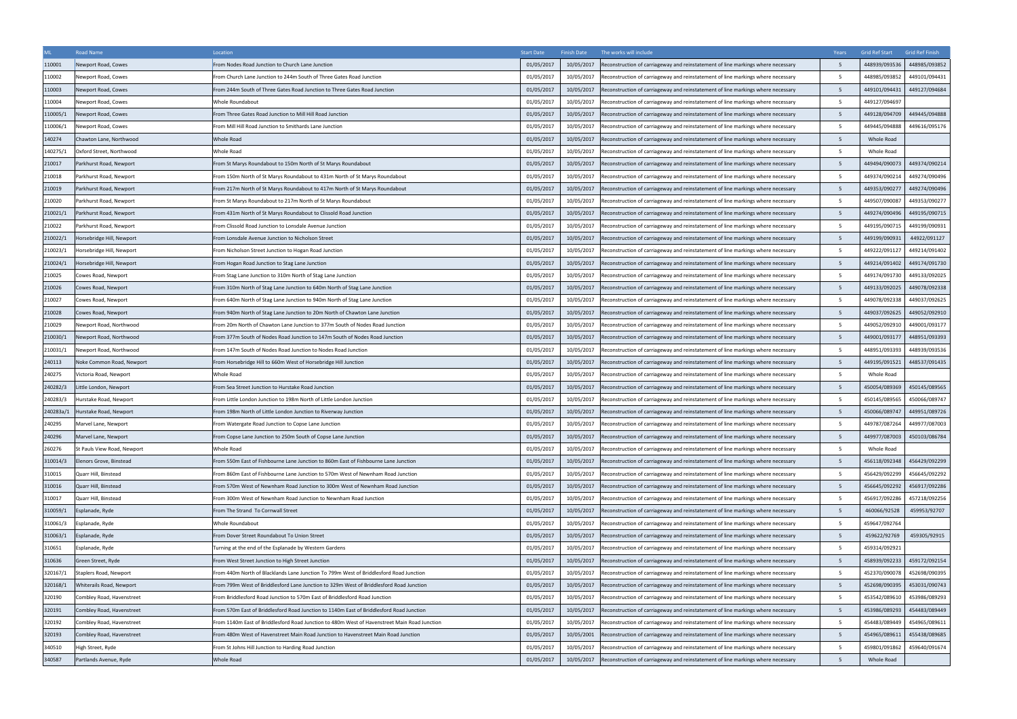| ML        | Road Name                   | Location                                                                                     | <b>Start Date</b> | <b>Finish Date</b> | The works will include                                                           | Years          | Grid Ref Start | Grid Ref Finish |
|-----------|-----------------------------|----------------------------------------------------------------------------------------------|-------------------|--------------------|----------------------------------------------------------------------------------|----------------|----------------|-----------------|
| 110001    | Newport Road, Cowes         | From Nodes Road Junction to Church Lane Junction                                             | 01/05/2017        | 10/05/2017         | Reconstruction of carriageway and reinstatement of line markings where necessary |                | 448939/093536  | 448985/093852   |
| 110002    | Newport Road, Cowes         | From Church Lane Junction to 244m South of Three Gates Road Junction                         | 01/05/2017        | 10/05/2017         | Reconstruction of carriageway and reinstatement of line markings where necessary |                | 448985/093852  | 449101/094431   |
| 110003    | Newport Road, Cowes         | From 244m South of Three Gates Road Junction to Three Gates Road Junction                    | 01/05/2017        | 10/05/2017         | econstruction of carriageway and reinstatement of line markings where necessary  | - 5            | 449101/094431  | 449127/094684   |
| 110004    | Newport Road, Cowes         | Whole Roundabout                                                                             | 01/05/2017        | 10/05/2017         | Reconstruction of carriageway and reinstatement of line markings where necessary | -5             | 449127/094697  |                 |
| 110005/1  | Newport Road, Cowes         | From Three Gates Road Junction to Mill Hill Road Junction                                    | 01/05/201         | 10/05/2017         | Reconstruction of carriageway and reinstatement of line markings where necessary | -5             | 449128/094709  | 449445/094888   |
| 110006/1  | <b>Newport Road, Cowes</b>  | From Mill Hill Road Junction to Smithards Lane Junction                                      | 01/05/2017        | 10/05/2017         | Reconstruction of carriageway and reinstatement of line markings where necessary | - 5            | 449445/094888  | 449616/095176   |
| 140274    | Chawton Lane, Northwood     | Whole Road                                                                                   | 01/05/201         | 10/05/2017         | Reconstruction of carriageway and reinstatement of line markings where necessary | $5^{\circ}$    | Whole Road     |                 |
| 140275/1  | Oxford Street, Northwood    | Whole Road                                                                                   | 01/05/2017        | 10/05/2017         | Reconstruction of carriageway and reinstatement of line markings where necessary | .5             | Whole Road     |                 |
| 210017    | Parkhurst Road, Newport     | From St Marys Roundabout to 150m North of St Marys Roundabout                                | 01/05/2017        | 10/05/2017         | Reconstruction of carriageway and reinstatement of line markings where necessary | -5             | 449494/090073  | 449374/090214   |
| 210018    | Parkhurst Road, Newport     | From 150m North of St Marys Roundabout to 431m North of St Marys Roundabout                  | 01/05/201         | 10/05/2017         | Reconstruction of carriageway and reinstatement of line markings where necessary | -5             | 449374/090214  | 449274/090496   |
| 210019    | Parkhurst Road, Newport     | From 217m North of St Marys Roundabout to 417m North of St Marys Roundabout                  | 01/05/2017        | 10/05/2017         | econstruction of carriageway and reinstatement of line markings where necessary  | 5              | 449353/090277  | 449274/090496   |
| 210020    | Parkhurst Road, Newport     | From St Marys Roundabout to 217m North of St Marys Roundabout                                | 01/05/201         | 10/05/2017         | Reconstruction of carriageway and reinstatement of line markings where necessary | $5^{\circ}$    | 449507/090087  | 449353/090277   |
| 210021/1  | Parkhurst Road, Newport     | From 431m North of St Marys Roundabout to Clissold Road Junction                             | 01/05/2017        | 10/05/2017         | Reconstruction of carriageway and reinstatement of line markings where necessary | -5             | 449274/090496  | 449195/090715   |
| 210022    | Parkhurst Road, Newport     | From Clissold Road Junction to Lonsdale Avenue Junction                                      | 01/05/2017        | 10/05/2017         | Reconstruction of carriageway and reinstatement of line markings where necessary | - 5            | 449195/090715  | 449199/090931   |
| 210022/1  | Horsebridge Hill, Newport   | From Lonsdale Avenue Junction to Nicholson Street                                            | 01/05/2017        | 10/05/2017         | econstruction of carriageway and reinstatement of line markings where necessary  | - 5            | 449199/090931  | 44922/091127    |
| 210023/1  | Iorsebridge Hill, Newport   | From Nicholson Street Junction to Hogan Road Junction                                        | 01/05/2017        | 10/05/2017         | econstruction of carriageway and reinstatement of line markings where necessary  |                | 449222/091127  | 449214/091402   |
| 210024/1  | Horsebridge Hill, Newport   | From Hogan Road Junction to Stag Lane Junction                                               | 01/05/201         | 10/05/2017         | Reconstruction of carriageway and reinstatement of line markings where necessary | - 5            | 449214/091402  | 449174/091730   |
| 210025    | Cowes Road, Newport         | From Stag Lane Junction to 310m North of Stag Lane Junction                                  | 01/05/2017        | 10/05/2017         | Reconstruction of carriageway and reinstatement of line markings where necessary | -5             | 449174/091730  | 449133/092025   |
| 210026    | Cowes Road, Newport         | From 310m North of Stag Lane Junction to 640m North of Stag Lane Junction                    | 01/05/2017        | 10/05/2017         | Reconstruction of carriageway and reinstatement of line markings where necessary |                | 449133/092025  | 449078/092338   |
| 210027    | Cowes Road, Newport         | From 640m North of Stag Lane Junction to 940m North of Stag Lane Junction                    | 01/05/201         | 10/05/2017         | Reconstruction of carriageway and reinstatement of line markings where necessary | .5             | 449078/092338  | 449037/092625   |
| 210028    | Cowes Road, Newport         | From 940m North of Stag Lane Junction to 20m North of Chawton Lane Junction                  | 01/05/2017        | 10/05/2017         | econstruction of carriageway and reinstatement of line markings where necessary  |                | 449037/092625  | 449052/092910   |
| 210029    | Newport Road, Northwood     | From 20m North of Chawton Lane Junction to 377m South of Nodes Road Junction                 | 01/05/2017        | 10/05/2017         | econstruction of carriageway and reinstatement of line markings where necessary  | - 5            | 449052/092910  | 449001/093177   |
| 210030/1  | Newport Road, Northwood     | From 377m South of Nodes Road Junction to 147m South of Nodes Road Junction                  | 01/05/2017        | 10/05/2017         | econstruction of carriageway and reinstatement of line markings where necessary  | -5             | 449001/093177  | 448951/093393   |
| 210031/1  | Newport Road, Northwood     | From 147m South of Nodes Road Junction to Nodes Road Junction                                | 01/05/201         | 10/05/2017         | Reconstruction of carriageway and reinstatement of line markings where necessary | .5             | 448951/093393  | 448939/093536   |
| 240113    | Noke Common Road, Newport   | From Horsebridge Hill to 660m West of Horsebridge Hill Junction                              | 01/05/2017        | 10/05/2017         | Reconstruction of carriageway and reinstatement of line markings where necessary | - 5            | 449195/091521  | 448537/091435   |
| 240275    | Victoria Road, Newport      | Whole Road                                                                                   | 01/05/201         | 10/05/2017         | Reconstruction of carriageway and reinstatement of line markings where necessary | $5^{\circ}$    | Whole Road     |                 |
| 240282/3  | Little London, Newport      | From Sea Street Junction to Hurstake Road Junction                                           | 01/05/2017        | 10/05/2017         | Reconstruction of carriageway and reinstatement of line markings where necessary | -5             | 450054/089369  | 450145/089565   |
| 240283/3  | Iurstake Road, Newport      | rom Little London Junction to 198m North of Little London Junction                           | 01/05/2017        | 10/05/2017         | Reconstruction of carriageway and reinstatement of line markings where necessary | - 5            | 450145/089565  | 450066/089747   |
| 240283a/1 | Hurstake Road, Newport      | From 198m North of Little London Junction to Riverway Junction                               | 01/05/2017        | 10/05/2017         | Reconstruction of carriageway and reinstatement of line markings where necessary | -5             | 450066/089747  | 449951/089726   |
| 240295    | Marvel Lane, Newport        | From Watergate Road Junction to Copse Lane Junction                                          | 01/05/2017        | 10/05/2017         | Reconstruction of carriageway and reinstatement of line markings where necessary | - 5            | 449787/087264  | 449977/087003   |
| 240296    | Marvel Lane, Newport        | From Copse Lane Junction to 250m South of Copse Lane Junction                                | 01/05/2017        | 10/05/2017         | Reconstruction of carriageway and reinstatement of line markings where necessary | 5 <sup>5</sup> | 449977/087003  | 450103/086784   |
| 260276    | St Pauls View Road, Newport | Whole Road                                                                                   | 01/05/2017        | 10/05/2017         | Reconstruction of carriageway and reinstatement of line markings where necessary | $5^{\circ}$    | Whole Road     |                 |
| 310014/3  | lenors Grove, Binstead      | From 550m East of Fishbourne Lane Junction to 860m East of Fishbourne Lane Junction          | 01/05/2017        | 10/05/2017         | Reconstruction of carriageway and reinstatement of line markings where necessary | -5             | 456118/092348  | 456429/092299   |
| 310015    | Quarr Hill, Binstead        | From 860m East of Fishbourne Lane Junction to 570m West of Newnham Road Junction             | 01/05/2017        | 10/05/2017         | Reconstruction of carriageway and reinstatement of line markings where necessary | -5             | 456429/092299  | 456645/092292   |
| 310016    | Quarr Hill, Binstead        | From 570m West of Newnham Road Junction to 300m West of Newnham Road Junction                | 01/05/2017        | 10/05/2017         | Reconstruction of carriageway and reinstatement of line markings where necessary |                | 456645/092292  | 456917/092286   |
| 310017    | Quarr Hill, Binstead        | From 300m West of Newnham Road Junction to Newnham Road Junction                             | 01/05/201         | 10/05/2017         | Reconstruction of carriageway and reinstatement of line markings where necessary | - 5            | 456917/092286  | 457218/092256   |
| 310059/1  | Esplanade, Ryde             | From The Strand To Cornwall Street                                                           | 01/05/2017        | 10/05/2017         | Reconstruction of carriageway and reinstatement of line markings where necessary | -5             | 460066/92528   | 459953/92707    |
| 310061/3  | Esplanade, Ryde             | Whole Roundabout                                                                             | 01/05/201         | 10/05/2017         | Reconstruction of carriageway and reinstatement of line markings where necessary |                | 459647/092764  |                 |
| 310063/1  | Esplanade, Ryde             | From Dover Street Roundabout To Union Street                                                 | 01/05/2017        | 10/05/2017         | Reconstruction of carriageway and reinstatement of line markings where necessary | 5              | 459622/92769   | 459305/92915    |
| 310651    | Esplanade, Ryde             | Furning at the end of the Esplanade by Western Gardens                                       | 01/05/2017        | 10/05/2017         | Reconstruction of carriageway and reinstatement of line markings where necessary |                | 459314/092921  |                 |
| 310636    | Green Street, Ryde          | From West Street Junction to High Street Junction                                            | 01/05/2017        | 10/05/2017         | Reconstruction of carriageway and reinstatement of line markings where necessary | - 5            | 458939/092233  | 459172/092154   |
| 320167/1  | Staplers Road, Newport      | From 440m North of Blacklands Lane Junction To 799m West of Briddlesford Road Junction       | 01/05/2017        | 10/05/2017         | Reconstruction of carriageway and reinstatement of line markings where necessary | -5             | 452370/090078  | 452698/090395   |
| 320168/1  | Whiterails Road, Newport    | From 799m West of Briddlesford Lane Junction to 329m West of Briddlesford Road Junction      | 01/05/201         | 10/05/2017         | Reconstruction of carriageway and reinstatement of line markings where necessary | 5 <sup>5</sup> | 452698/090395  | 453031/090743   |
| 320190    | Combley Road, Havenstreet   | From Briddlesford Road Junction to 570m East of Briddlesford Road Junction                   | 01/05/2017        | 10/05/2017         | Reconstruction of carriageway and reinstatement of line markings where necessary | $5^{\circ}$    | 453542/089610  | 453986/089293   |
| 320191    | Combley Road, Havenstreet   | From 570m East of Briddlesford Road Junction to 1140m East of Briddlesford Road Junction     | 01/05/2017        | 10/05/2017         | Reconstruction of carriageway and reinstatement of line markings where necessary | -5             | 453986/089293  | 454483/089449   |
| 320192    | Combley Road, Havenstreet   | From 1140m East of Briddlesford Road Junction to 480m West of Havenstreet Main Road Junction | 01/05/201         | 10/05/2017         | Reconstruction of carriageway and reinstatement of line markings where necessary | - 5            | 454483/089449  | 454965/089611   |
| 320193    | Combley Road, Havenstreet   | From 480m West of Havenstreet Main Road Junction to Havenstreet Main Road Junction           | 01/05/2017        | 10/05/2001         | Reconstruction of carriageway and reinstatement of line markings where necessary | -5             | 454965/089611  | 455438/089685   |
| 340510    | High Street, Ryde           | From St Johns Hill Junction to Harding Road Junction                                         | 01/05/201         | 10/05/2017         | Reconstruction of carriageway and reinstatement of line markings where necessary | -5             | 459801/091862  | 459640/091674   |
| 340587    | Partlands Avenue, Ryde      | Whole Road                                                                                   | 01/05/2017        | 10/05/2017         | Reconstruction of carriageway and reinstatement of line markings where necessary | 5              | Whole Road     |                 |